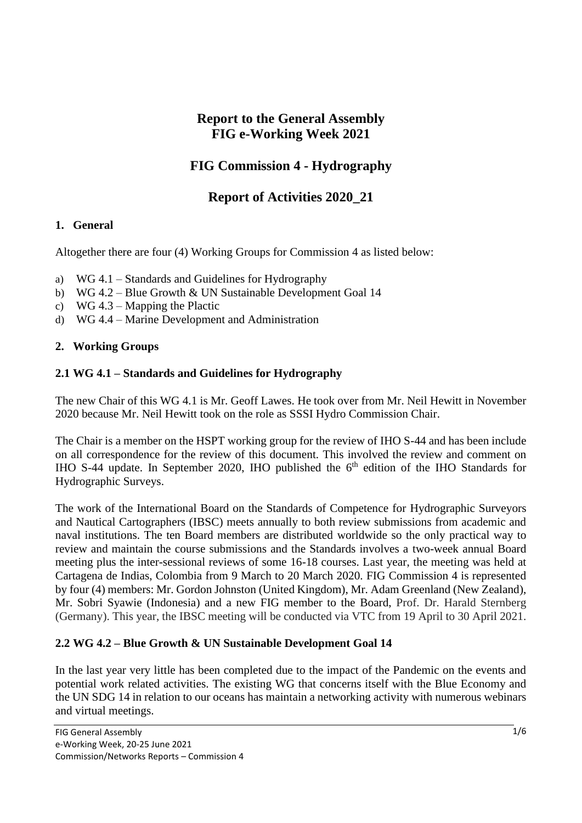## **Report to the General Assembly FIG e-Working Week 2021**

# **FIG Commission 4 - Hydrography**

## **Report of Activities 2020\_21**

## **1. General**

Altogether there are four (4) Working Groups for Commission 4 as listed below:

- a) WG 4.1 Standards and Guidelines for Hydrography
- b) WG 4.2 Blue Growth & UN Sustainable Development Goal 14
- c) WG 4.3 Mapping the Plactic
- d) WG 4.4 Marine Development and Administration

## **2. Working Groups**

#### **2.1 WG 4.1 – Standards and Guidelines for Hydrography**

The new Chair of this WG 4.1 is Mr. Geoff Lawes. He took over from Mr. Neil Hewitt in November 2020 because Mr. Neil Hewitt took on the role as SSSI Hydro Commission Chair.

The Chair is a member on the HSPT working group for the review of IHO S-44 and has been include on all correspondence for the review of this document. This involved the review and comment on IHO S-44 update. In September 2020, IHO published the  $6<sup>th</sup>$  edition of the IHO Standards for Hydrographic Surveys.

The work of the International Board on the Standards of Competence for Hydrographic Surveyors and Nautical Cartographers (IBSC) meets annually to both review submissions from academic and naval institutions. The ten Board members are distributed worldwide so the only practical way to review and maintain the course submissions and the Standards involves a two-week annual Board meeting plus the inter-sessional reviews of some 16-18 courses. Last year, the meeting was held at Cartagena de Indias, Colombia from 9 March to 20 March 2020. FIG Commission 4 is represented by four (4) members: Mr. Gordon Johnston (United Kingdom), Mr. Adam Greenland (New Zealand), Mr. Sobri Syawie (Indonesia) and a new FIG member to the Board, Prof. Dr. Harald Sternberg (Germany). This year, the IBSC meeting will be conducted via VTC from 19 April to 30 April 2021.

## **2.2 WG 4.2 – Blue Growth & UN Sustainable Development Goal 14**

In the last year very little has been completed due to the impact of the Pandemic on the events and potential work related activities. The existing WG that concerns itself with the Blue Economy and the UN SDG 14 in relation to our oceans has maintain a networking activity with numerous webinars and virtual meetings.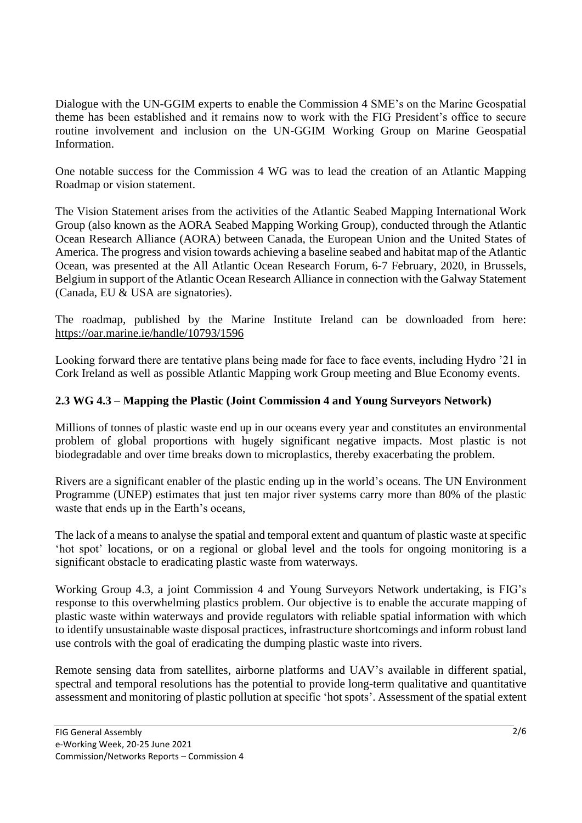Dialogue with the UN-GGIM experts to enable the Commission 4 SME's on the Marine Geospatial theme has been established and it remains now to work with the FIG President's office to secure routine involvement and inclusion on the UN-GGIM Working Group on Marine Geospatial Information.

One notable success for the Commission 4 WG was to lead the creation of an Atlantic Mapping Roadmap or vision statement.

The Vision Statement arises from the activities of the Atlantic Seabed Mapping International Work Group (also known as the AORA Seabed Mapping Working Group), conducted through the Atlantic Ocean Research Alliance (AORA) between Canada, the European Union and the United States of America. The progress and vision towards achieving a baseline seabed and habitat map of the Atlantic Ocean, was presented at the All Atlantic Ocean Research Forum, 6-7 February, 2020, in Brussels, Belgium in support of the Atlantic Ocean Research Alliance in connection with the Galway Statement (Canada, EU & USA are signatories).

The roadmap, published by the Marine Institute Ireland can be downloaded from here: <https://oar.marine.ie/handle/10793/1596>

Looking forward there are tentative plans being made for face to face events, including Hydro '21 in Cork Ireland as well as possible Atlantic Mapping work Group meeting and Blue Economy events.

## **2.3 WG 4.3 – Mapping the Plastic (Joint Commission 4 and Young Surveyors Network)**

Millions of tonnes of plastic waste end up in our oceans every year and constitutes an environmental problem of global proportions with hugely significant negative impacts. Most plastic is not biodegradable and over time breaks down to microplastics, thereby exacerbating the problem.

Rivers are a significant enabler of the plastic ending up in the world's oceans. The UN Environment Programme (UNEP) estimates that just ten major river systems carry more than 80% of the plastic waste that ends up in the Earth's oceans,

The lack of a means to analyse the spatial and temporal extent and quantum of plastic waste at specific 'hot spot' locations, or on a regional or global level and the tools for ongoing monitoring is a significant obstacle to eradicating plastic waste from waterways.

Working Group 4.3, a joint Commission 4 and Young Surveyors Network undertaking, is FIG's response to this overwhelming plastics problem. Our objective is to enable the accurate mapping of plastic waste within waterways and provide regulators with reliable spatial information with which to identify unsustainable waste disposal practices, infrastructure shortcomings and inform robust land use controls with the goal of eradicating the dumping plastic waste into rivers.

Remote sensing data from satellites, airborne platforms and UAV's available in different spatial, spectral and temporal resolutions has the potential to provide long-term qualitative and quantitative assessment and monitoring of plastic pollution at specific 'hot spots'. Assessment of the spatial extent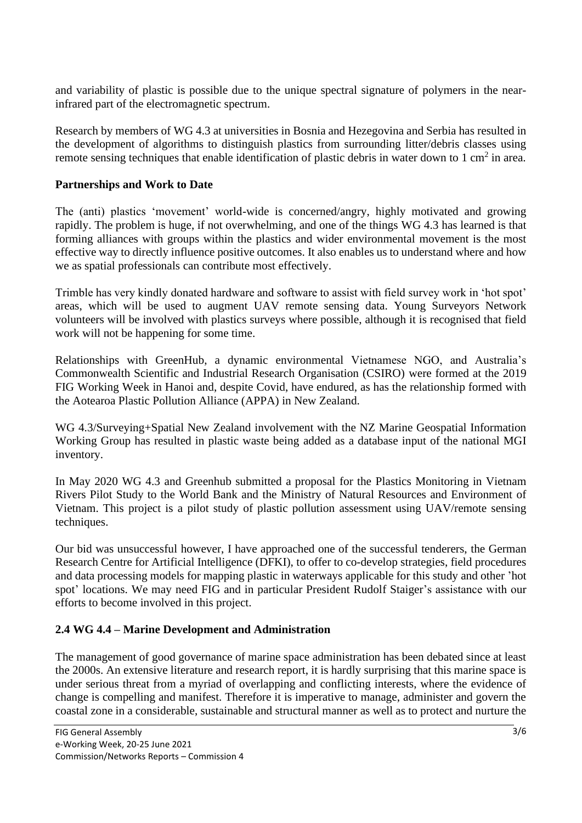and variability of plastic is possible due to the unique spectral signature of polymers in the nearinfrared part of the electromagnetic spectrum.

[Research](file:///D:/LUAR%20UTM/FIG/COMMISSION%204/WG%204.3%20annual%20report%2020_21.docx) by members of WG 4.3 at universities in Bosnia and Hezegovina and Serbia has resulted in the development of algorithms to distinguish plastics from surrounding litter/debris classes using remote sensing techniques that enable identification of plastic debris in water down to  $1 \text{ cm}^2$  in area.

#### **Partnerships and Work to Date**

The (anti) plastics 'movement' world-wide is concerned/angry, highly motivated and growing rapidly. The problem is huge, if not overwhelming, and one of the things WG 4.3 has learned is that forming alliances with groups within the plastics and wider environmental movement is the most effective way to directly influence positive outcomes. It also enables us to understand where and how we as spatial professionals can contribute most effectively.

Trimble has very kindly donated hardware and software to assist with field survey work in 'hot spot' areas, which will be used to augment UAV remote sensing data. Young Surveyors Network volunteers will be involved with plastics surveys where possible, although it is recognised that field work will not be happening for some time.

Relationships with GreenHub, a dynamic environmental Vietnamese NGO, and Australia's Commonwealth Scientific and Industrial Research Organisation (CSIRO) were formed at the 2019 FIG Working Week in Hanoi and, despite Covid, have endured, as has the relationship formed with the Aotearoa Plastic Pollution Alliance (APPA) in New Zealand.

WG 4.3/Surveying+Spatial New Zealand involvement with the NZ Marine Geospatial Information Working Group has resulted in plastic waste being added as a database input of the national MGI inventory.

In May 2020 WG 4.3 and Greenhub submitted a proposal for the Plastics Monitoring in Vietnam Rivers Pilot Study to the World Bank and the Ministry of Natural Resources and Environment of Vietnam. This project is a pilot study of plastic pollution assessment using UAV/remote sensing techniques.

Our bid was unsuccessful however, I have approached one of the successful tenderers, the German Research Centre for Artificial Intelligence (DFKI), to offer to co-develop strategies, field procedures and data processing models for mapping plastic in waterways applicable for this study and other 'hot spot' locations. We may need FIG and in particular President Rudolf Staiger's assistance with our efforts to become involved in this project.

## **2.4 WG 4.4 – Marine Development and Administration**

The management of good governance of marine space administration has been debated since at least the 2000s. An extensive literature and research report, it is hardly surprising that this marine space is under serious threat from a myriad of overlapping and conflicting interests, where the evidence of change is compelling and manifest. Therefore it is imperative to manage, administer and govern the coastal zone in a considerable, sustainable and structural manner as well as to protect and nurture the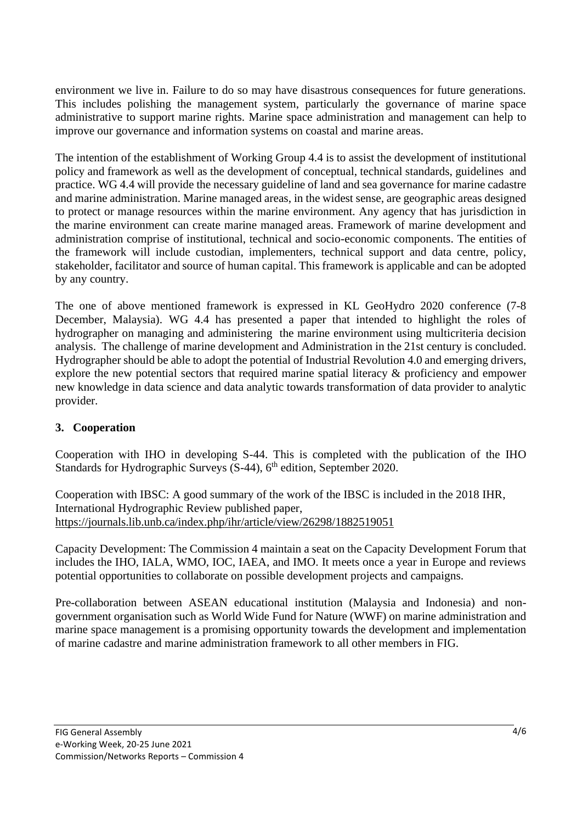environment we live in. Failure to do so may have disastrous consequences for future generations. This includes polishing the management system, particularly the governance of marine space administrative to support marine rights. Marine space administration and management can help to improve our governance and information systems on coastal and marine areas.

The intention of the establishment of Working Group 4.4 is to assist the development of institutional policy and framework as well as the development of conceptual, technical standards, guidelines and practice. WG 4.4 will provide the necessary guideline of land and sea governance for marine cadastre and marine administration. Marine managed areas, in the widest sense, are geographic areas designed to protect or manage resources within the marine environment. Any agency that has jurisdiction in the marine environment can create marine managed areas. Framework of marine development and administration comprise of institutional, technical and socio-economic components. The entities of the framework will include custodian, implementers, technical support and data centre, policy, stakeholder, facilitator and source of human capital. This framework is applicable and can be adopted by any country.

The one of above mentioned framework is expressed in KL GeoHydro 2020 conference (7-8 December, Malaysia). WG 4.4 has presented a paper that intended to highlight the roles of hydrographer on managing and administering the marine environment using multicriteria decision analysis. The challenge of marine development and Administration in the 21st century is concluded. Hydrographer should be able to adopt the potential of Industrial Revolution 4.0 and emerging drivers, explore the new potential sectors that required marine spatial literacy & proficiency and empower new knowledge in data science and data analytic towards transformation of data provider to analytic provider.

## **3. Cooperation**

Cooperation with IHO in developing S-44. This is completed with the publication of the IHO Standards for Hydrographic Surveys (S-44), 6<sup>th</sup> edition, September 2020.

Cooperation with IBSC: A good summary of the work of the IBSC is included in the 2018 IHR, International Hydrographic Review published paper, <https://journals.lib.unb.ca/index.php/ihr/article/view/26298/1882519051>

Capacity Development: The Commission 4 maintain a seat on the Capacity Development Forum that includes the IHO, IALA, WMO, IOC, IAEA, and IMO. It meets once a year in Europe and reviews potential opportunities to collaborate on possible development projects and campaigns.

Pre-collaboration between ASEAN educational institution (Malaysia and Indonesia) and nongovernment organisation such as World Wide Fund for Nature (WWF) on marine administration and marine space management is a promising opportunity towards the development and implementation of marine cadastre and marine administration framework to all other members in FIG.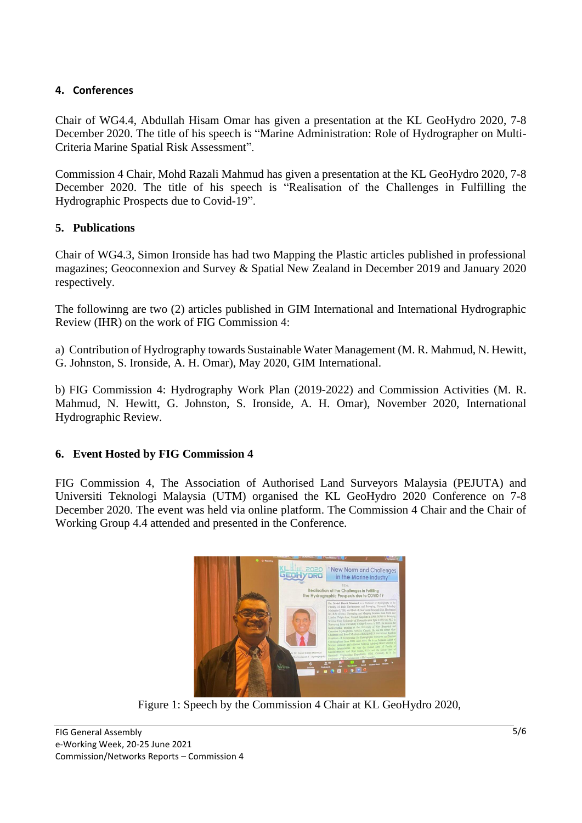#### **4. Conferences**

Chair of WG4.4, Abdullah Hisam Omar has given a presentation at the KL GeoHydro 2020, 7-8 December 2020. The title of his speech is "Marine Administration: Role of Hydrographer on Multi-Criteria Marine Spatial Risk Assessment".

Commission 4 Chair, Mohd Razali Mahmud has given a presentation at the KL GeoHydro 2020, 7-8 December 2020. The title of his speech is "Realisation of the Challenges in Fulfilling the Hydrographic Prospects due to Covid-19".

#### **5. Publications**

Chair of WG4.3, Simon Ironside has had two Mapping the Plastic articles published in professional magazines; Geoconnexion and Survey & Spatial New Zealand in December 2019 and January 2020 respectively.

The followinng are two (2) articles published in GIM International and International Hydrographic Review (IHR) on the work of FIG Commission 4:

a) Contribution of Hydrography towards Sustainable Water Management (M. R. Mahmud, N. Hewitt, G. Johnston, S. Ironside, A. H. Omar), May 2020, GIM International.

b) FIG Commission 4: Hydrography Work Plan (2019-2022) and Commission Activities (M. R. Mahmud, N. Hewitt, G. Johnston, S. Ironside, A. H. Omar), November 2020, International Hydrographic Review.

## **6. Event Hosted by FIG Commission 4**

FIG Commission 4, The Association of Authorised Land Surveyors Malaysia (PEJUTA) and Universiti Teknologi Malaysia (UTM) organised the KL GeoHydro 2020 Conference on 7-8 December 2020. The event was held via online platform. The Commission 4 Chair and the Chair of Working Group 4.4 attended and presented in the Conference.



Figure 1: Speech by the Commission 4 Chair at KL GeoHydro 2020,